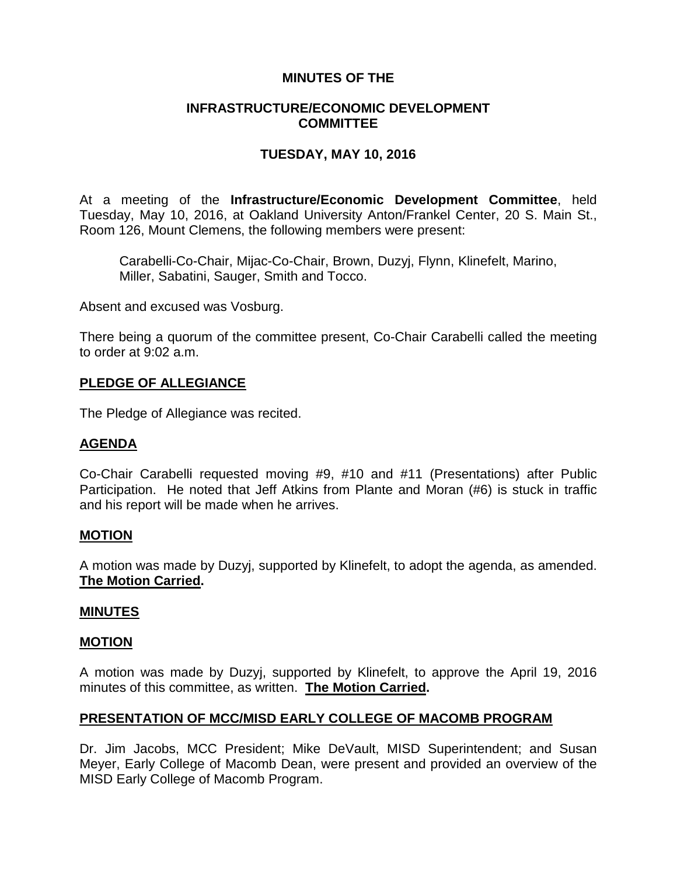## **MINUTES OF THE**

## **INFRASTRUCTURE/ECONOMIC DEVELOPMENT COMMITTEE**

## **TUESDAY, MAY 10, 2016**

At a meeting of the **Infrastructure/Economic Development Committee**, held Tuesday, May 10, 2016, at Oakland University Anton/Frankel Center, 20 S. Main St., Room 126, Mount Clemens, the following members were present:

Carabelli-Co-Chair, Mijac-Co-Chair, Brown, Duzyj, Flynn, Klinefelt, Marino, Miller, Sabatini, Sauger, Smith and Tocco.

Absent and excused was Vosburg.

There being a quorum of the committee present, Co-Chair Carabelli called the meeting to order at 9:02 a.m.

### **PLEDGE OF ALLEGIANCE**

The Pledge of Allegiance was recited.

## **AGENDA**

Co-Chair Carabelli requested moving #9, #10 and #11 (Presentations) after Public Participation. He noted that Jeff Atkins from Plante and Moran (#6) is stuck in traffic and his report will be made when he arrives.

#### **MOTION**

A motion was made by Duzyj, supported by Klinefelt, to adopt the agenda, as amended. **The Motion Carried.**

#### **MINUTES**

#### **MOTION**

A motion was made by Duzyj, supported by Klinefelt, to approve the April 19, 2016 minutes of this committee, as written. **The Motion Carried.**

## **PRESENTATION OF MCC/MISD EARLY COLLEGE OF MACOMB PROGRAM**

Dr. Jim Jacobs, MCC President; Mike DeVault, MISD Superintendent; and Susan Meyer, Early College of Macomb Dean, were present and provided an overview of the MISD Early College of Macomb Program.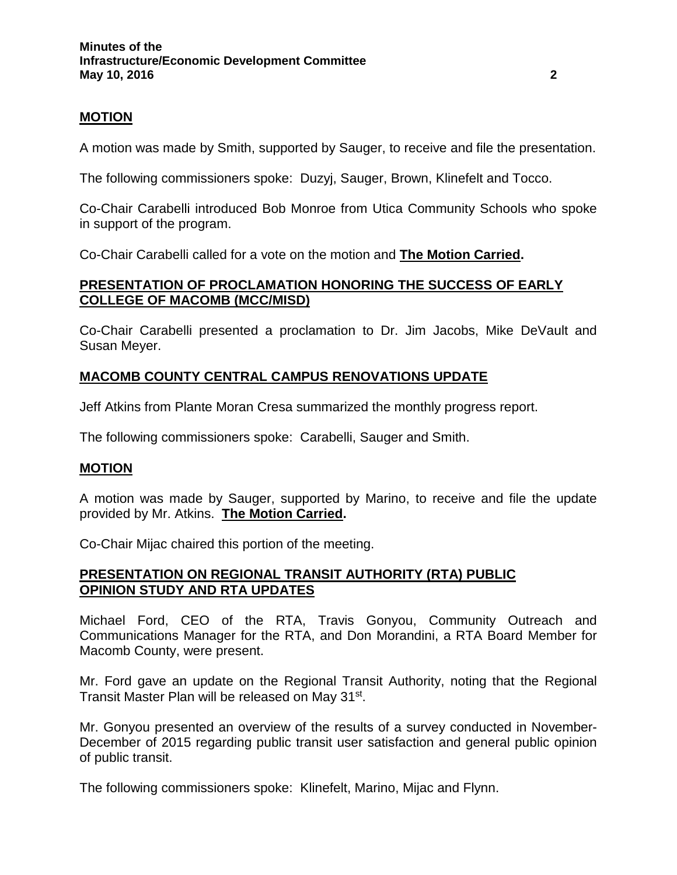## **MOTION**

A motion was made by Smith, supported by Sauger, to receive and file the presentation.

The following commissioners spoke: Duzyj, Sauger, Brown, Klinefelt and Tocco.

Co-Chair Carabelli introduced Bob Monroe from Utica Community Schools who spoke in support of the program.

Co-Chair Carabelli called for a vote on the motion and **The Motion Carried.**

## **PRESENTATION OF PROCLAMATION HONORING THE SUCCESS OF EARLY COLLEGE OF MACOMB (MCC/MISD)**

Co-Chair Carabelli presented a proclamation to Dr. Jim Jacobs, Mike DeVault and Susan Meyer.

# **MACOMB COUNTY CENTRAL CAMPUS RENOVATIONS UPDATE**

Jeff Atkins from Plante Moran Cresa summarized the monthly progress report.

The following commissioners spoke: Carabelli, Sauger and Smith.

## **MOTION**

A motion was made by Sauger, supported by Marino, to receive and file the update provided by Mr. Atkins. **The Motion Carried.**

Co-Chair Mijac chaired this portion of the meeting.

## **PRESENTATION ON REGIONAL TRANSIT AUTHORITY (RTA) PUBLIC OPINION STUDY AND RTA UPDATES**

Michael Ford, CEO of the RTA, Travis Gonyou, Community Outreach and Communications Manager for the RTA, and Don Morandini, a RTA Board Member for Macomb County, were present.

Mr. Ford gave an update on the Regional Transit Authority, noting that the Regional Transit Master Plan will be released on May 31st.

Mr. Gonyou presented an overview of the results of a survey conducted in November-December of 2015 regarding public transit user satisfaction and general public opinion of public transit.

The following commissioners spoke: Klinefelt, Marino, Mijac and Flynn.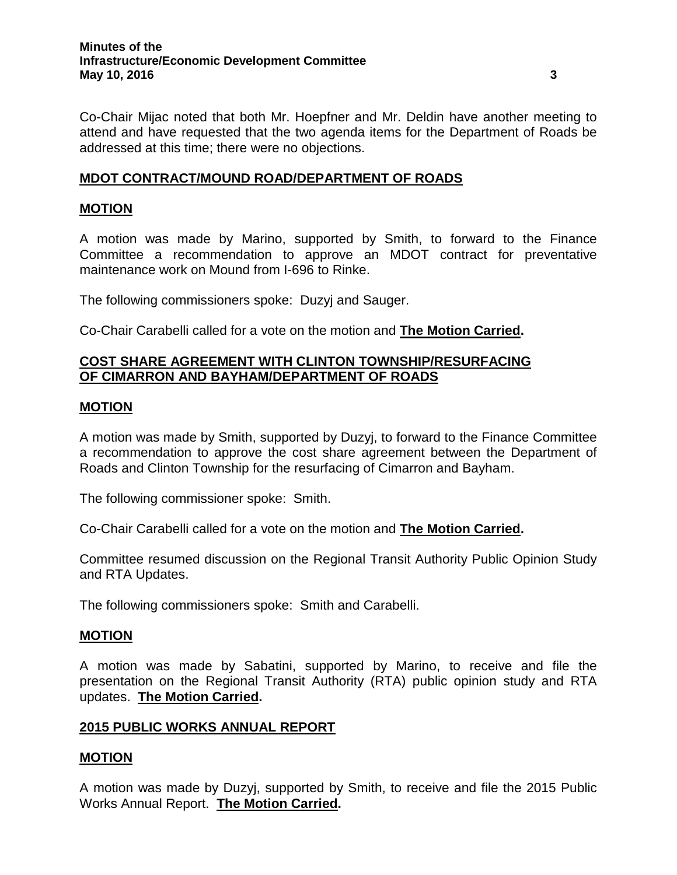Co-Chair Mijac noted that both Mr. Hoepfner and Mr. Deldin have another meeting to attend and have requested that the two agenda items for the Department of Roads be addressed at this time; there were no objections.

## **MDOT CONTRACT/MOUND ROAD/DEPARTMENT OF ROADS**

## **MOTION**

A motion was made by Marino, supported by Smith, to forward to the Finance Committee a recommendation to approve an MDOT contract for preventative maintenance work on Mound from I-696 to Rinke.

The following commissioners spoke: Duzyj and Sauger.

Co-Chair Carabelli called for a vote on the motion and **The Motion Carried.**

## **COST SHARE AGREEMENT WITH CLINTON TOWNSHIP/RESURFACING OF CIMARRON AND BAYHAM/DEPARTMENT OF ROADS**

### **MOTION**

A motion was made by Smith, supported by Duzyj, to forward to the Finance Committee a recommendation to approve the cost share agreement between the Department of Roads and Clinton Township for the resurfacing of Cimarron and Bayham.

The following commissioner spoke: Smith.

Co-Chair Carabelli called for a vote on the motion and **The Motion Carried.**

Committee resumed discussion on the Regional Transit Authority Public Opinion Study and RTA Updates.

The following commissioners spoke: Smith and Carabelli.

#### **MOTION**

A motion was made by Sabatini, supported by Marino, to receive and file the presentation on the Regional Transit Authority (RTA) public opinion study and RTA updates. **The Motion Carried.**

#### **2015 PUBLIC WORKS ANNUAL REPORT**

#### **MOTION**

A motion was made by Duzyj, supported by Smith, to receive and file the 2015 Public Works Annual Report. **The Motion Carried.**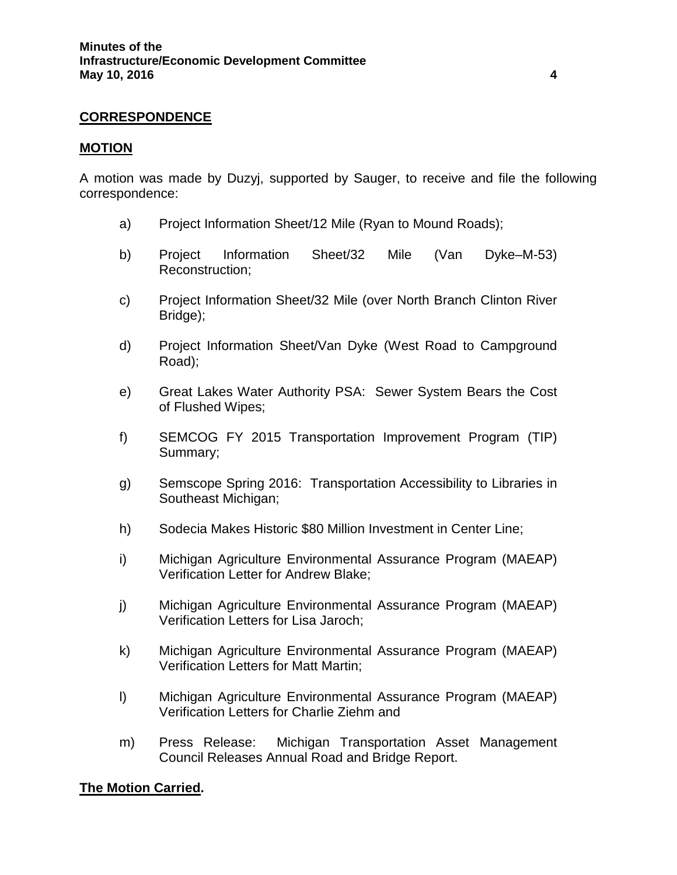### **CORRESPONDENCE**

#### **MOTION**

A motion was made by Duzyj, supported by Sauger, to receive and file the following correspondence:

- a) Project Information Sheet/12 Mile (Ryan to Mound Roads);
- b) Project Information Sheet/32 Mile (Van Dyke–M-53) Reconstruction;
- c) Project Information Sheet/32 Mile (over North Branch Clinton River Bridge);
- d) Project Information Sheet/Van Dyke (West Road to Campground Road);
- e) Great Lakes Water Authority PSA: Sewer System Bears the Cost of Flushed Wipes;
- f) SEMCOG FY 2015 Transportation Improvement Program (TIP) Summary;
- g) Semscope Spring 2016: Transportation Accessibility to Libraries in Southeast Michigan;
- h) Sodecia Makes Historic \$80 Million Investment in Center Line;
- i) Michigan Agriculture Environmental Assurance Program (MAEAP) Verification Letter for Andrew Blake;
- j) Michigan Agriculture Environmental Assurance Program (MAEAP) Verification Letters for Lisa Jaroch;
- k) Michigan Agriculture Environmental Assurance Program (MAEAP) Verification Letters for Matt Martin;
- l) Michigan Agriculture Environmental Assurance Program (MAEAP) Verification Letters for Charlie Ziehm and
- m) Press Release: Michigan Transportation Asset Management Council Releases Annual Road and Bridge Report.

#### **The Motion Carried.**